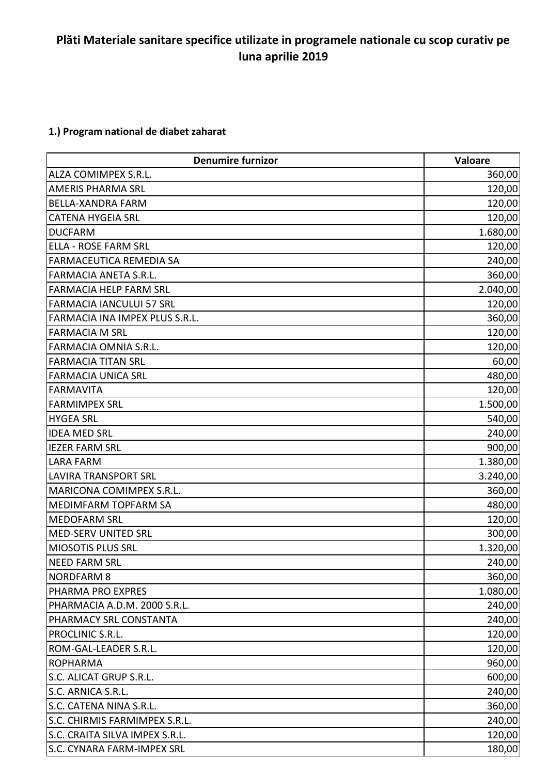## **Plăti Materiale sanitare specifice utilizate in programele nationale cu scop curativ pe luna aprilie 2019**

## **1.) Program national de diabet zaharat**

| <b>Denumire furnizor</b>        | Valoare  |
|---------------------------------|----------|
| ALZA COMIMPEX S.R.L.            | 360,00   |
| <b>AMERIS PHARMA SRL</b>        | 120,00   |
| <b>BELLA-XANDRA FARM</b>        | 120,00   |
| <b>CATENA HYGEIA SRL</b>        | 120,00   |
| <b>DUCFARM</b>                  | 1.680,00 |
| <b>ELLA - ROSE FARM SRL</b>     | 120,00   |
| FARMACEUTICA REMEDIA SA         | 240,00   |
| <b>FARMACIA ANETA S.R.L.</b>    | 360,00   |
| <b>FARMACIA HELP FARM SRL</b>   | 2.040,00 |
| <b>FARMACIA IANCULUI 57 SRL</b> | 120,00   |
| FARMACIA INA IMPEX PLUS S.R.L.  | 360,00   |
| <b>FARMACIA M SRL</b>           | 120,00   |
| FARMACIA OMNIA S.R.L.           | 120,00   |
| <b>FARMACIA TITAN SRL</b>       | 60,00    |
| <b>FARMACIA UNICA SRL</b>       | 480,00   |
| <b>FARMAVITA</b>                | 120,00   |
| <b>FARMIMPEX SRL</b>            | 1.500,00 |
| <b>HYGEA SRL</b>                | 540,00   |
| <b>IDEA MED SRL</b>             | 240,00   |
| <b>IEZER FARM SRL</b>           | 900,00   |
| <b>LARA FARM</b>                | 1.380,00 |
| <b>LAVIRA TRANSPORT SRL</b>     | 3.240,00 |
| MARICONA COMIMPEX S.R.L.        | 360,00   |
| MEDIMFARM TOPFARM SA            | 480,00   |
| <b>MEDOFARM SRL</b>             | 120,00   |
| MED-SERV UNITED SRL             | 300,00   |
| <b>MIOSOTIS PLUS SRL</b>        | 1.320,00 |
| <b>NEED FARM SRL</b>            | 240,00   |
| <b>NORDFARM 8</b>               | 360,00   |
| PHARMA PRO EXPRES               | 1.080,00 |
| PHARMACIA A.D.M. 2000 S.R.L.    | 240,00   |
| PHARMACY SRL CONSTANTA          | 240,00   |
| PROCLINIC S.R.L.                | 120,00   |
| ROM-GAL-LEADER S.R.L.           | 120,00   |
| <b>ROPHARMA</b>                 | 960,00   |
| S.C. ALICAT GRUP S.R.L.         | 600,00   |
| S.C. ARNICA S.R.L.              | 240,00   |
| S.C. CATENA NINA S.R.L.         | 360,00   |
| S.C. CHIRMIS FARMIMPEX S.R.L.   | 240,00   |
| S.C. CRAITA SILVA IMPEX S.R.L.  | 120,00   |
| S.C. CYNARA FARM-IMPEX SRL      | 180,00   |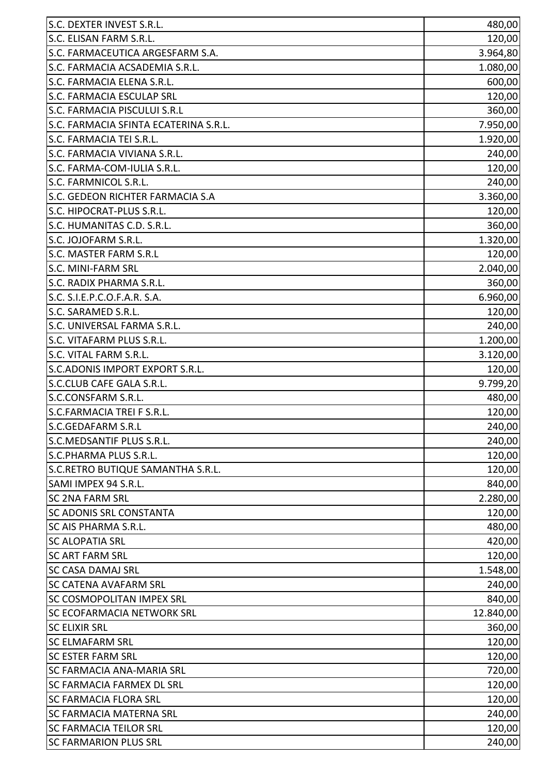| S.C. DEXTER INVEST S.R.L.             | 480,00    |
|---------------------------------------|-----------|
| S.C. ELISAN FARM S.R.L.               | 120,00    |
| S.C. FARMACEUTICA ARGESFARM S.A.      | 3.964,80  |
| S.C. FARMACIA ACSADEMIA S.R.L.        | 1.080,00  |
| S.C. FARMACIA ELENA S.R.L.            | 600,00    |
| <b>S.C. FARMACIA ESCULAP SRL</b>      | 120,00    |
| S.C. FARMACIA PISCULUI S.R.L          | 360,00    |
| S.C. FARMACIA SFINTA ECATERINA S.R.L. | 7.950,00  |
| S.C. FARMACIA TEI S.R.L.              | 1.920,00  |
| S.C. FARMACIA VIVIANA S.R.L.          | 240,00    |
| S.C. FARMA-COM-IULIA S.R.L.           | 120,00    |
| S.C. FARMNICOL S.R.L.                 | 240,00    |
| S.C. GEDEON RICHTER FARMACIA S.A      | 3.360,00  |
| S.C. HIPOCRAT-PLUS S.R.L.             | 120,00    |
| S.C. HUMANITAS C.D. S.R.L.            | 360,00    |
| S.C. JOJOFARM S.R.L.                  | 1.320,00  |
| S.C. MASTER FARM S.R.L                | 120,00    |
| <b>S.C. MINI-FARM SRL</b>             | 2.040,00  |
| S.C. RADIX PHARMA S.R.L.              | 360,00    |
| S.C. S.I.E.P.C.O.F.A.R. S.A.          | 6.960,00  |
| S.C. SARAMED S.R.L.                   | 120,00    |
| S.C. UNIVERSAL FARMA S.R.L.           | 240,00    |
| S.C. VITAFARM PLUS S.R.L.             | 1.200,00  |
| S.C. VITAL FARM S.R.L.                | 3.120,00  |
| S.C.ADONIS IMPORT EXPORT S.R.L.       | 120,00    |
| S.C.CLUB CAFE GALA S.R.L.             | 9.799,20  |
| S.C.CONSFARM S.R.L.                   | 480,00    |
| S.C.FARMACIA TREI F S.R.L.            | 120,00    |
| S.C.GEDAFARM S.R.L                    | 240,00    |
| S.C.MEDSANTIF PLUS S.R.L.             | 240,00    |
| S.C.PHARMA PLUS S.R.L.                | 120,00    |
| S.C.RETRO BUTIQUE SAMANTHA S.R.L.     | 120,00    |
| SAMI IMPEX 94 S.R.L.                  | 840,00    |
| <b>SC 2NA FARM SRL</b>                | 2.280,00  |
| <b>SC ADONIS SRL CONSTANTA</b>        | 120,00    |
| <b>SC AIS PHARMA S.R.L.</b>           | 480,00    |
| <b>SC ALOPATIA SRL</b>                | 420,00    |
| <b>SC ART FARM SRL</b>                | 120,00    |
| <b>SC CASA DAMAJ SRL</b>              | 1.548,00  |
| <b>SC CATENA AVAFARM SRL</b>          | 240,00    |
| <b>SC COSMOPOLITAN IMPEX SRL</b>      | 840,00    |
| <b>SC ECOFARMACIA NETWORK SRL</b>     | 12.840,00 |
| <b>SC ELIXIR SRL</b>                  | 360,00    |
| <b>SC ELMAFARM SRL</b>                | 120,00    |
| <b>SC ESTER FARM SRL</b>              | 120,00    |
| <b>SC FARMACIA ANA-MARIA SRL</b>      | 720,00    |
| <b>SC FARMACIA FARMEX DL SRL</b>      | 120,00    |
| <b>SC FARMACIA FLORA SRL</b>          | 120,00    |
| ISC FARMACIA MATERNA SRL              | 240,00    |
| <b>SC FARMACIA TEILOR SRL</b>         | 120,00    |
| <b>SC FARMARION PLUS SRL</b>          | 240,00    |